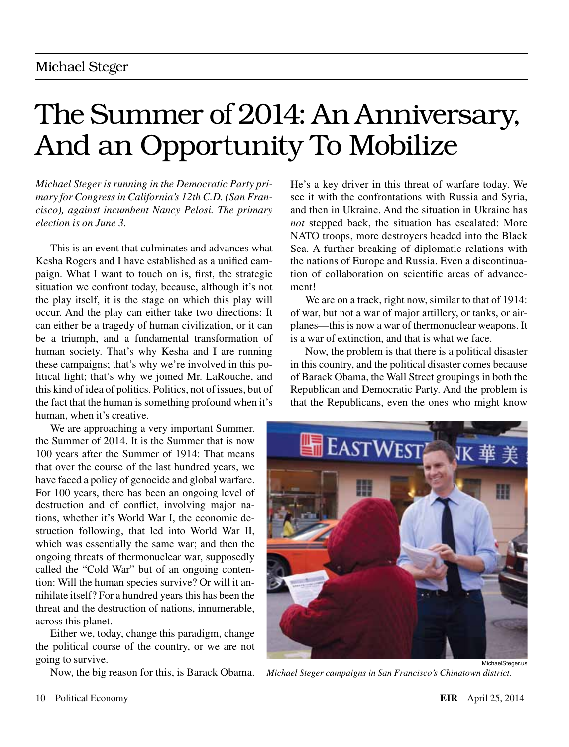# The Summer of 2014: An Anniversary, And an Opportunity To Mobilize

*Michael Steger is running in the Democratic Party primary for Congress in California's 12th C.D. (San Francisco), against incumbent Nancy Pelosi. The primary election is on June 3.*

This is an event that culminates and advances what Kesha Rogers and I have established as a unified campaign. What I want to touch on is, first, the strategic situation we confront today, because, although it's not the play itself, it is the stage on which this play will occur. And the play can either take two directions: It can either be a tragedy of human civilization, or it can be a triumph, and a fundamental transformation of human society. That's why Kesha and I are running these campaigns; that's why we're involved in this political fight; that's why we joined Mr. LaRouche, and this kind of idea of politics. Politics, not of issues, but of the fact that the human is something profound when it's human, when it's creative.

We are approaching a very important Summer. the Summer of 2014. It is the Summer that is now 100 years after the Summer of 1914: That means that over the course of the last hundred years, we have faced a policy of genocide and global warfare. For 100 years, there has been an ongoing level of destruction and of conflict, involving major nations, whether it's World War I, the economic destruction following, that led into World War II, which was essentially the same war; and then the ongoing threats of thermonuclear war, supposedly called the "Cold War" but of an ongoing contention: Will the human species survive? Or will it annihilate itself? For a hundred years this has been the threat and the destruction of nations, innumerable, across this planet.

Either we, today, change this paradigm, change the political course of the country, or we are not going to survive.

Now, the big reason for this, is Barack Obama.

He's a key driver in this threat of warfare today. We see it with the confrontations with Russia and Syria, and then in Ukraine. And the situation in Ukraine has *not* stepped back, the situation has escalated: More NATO troops, more destroyers headed into the Black Sea. A further breaking of diplomatic relations with the nations of Europe and Russia. Even a discontinuation of collaboration on scientific areas of advancement!

We are on a track, right now, similar to that of 1914: of war, but not a war of major artillery, or tanks, or airplanes—this is now a war of thermonuclear weapons. It is a war of extinction, and that is what we face.

Now, the problem is that there is a political disaster in this country, and the political disaster comes because of Barack Obama, the Wall Street groupings in both the Republican and Democratic Party. And the problem is that the Republicans, even the ones who might know



*Michael Steger campaigns in San Francisco's Chinatown district.*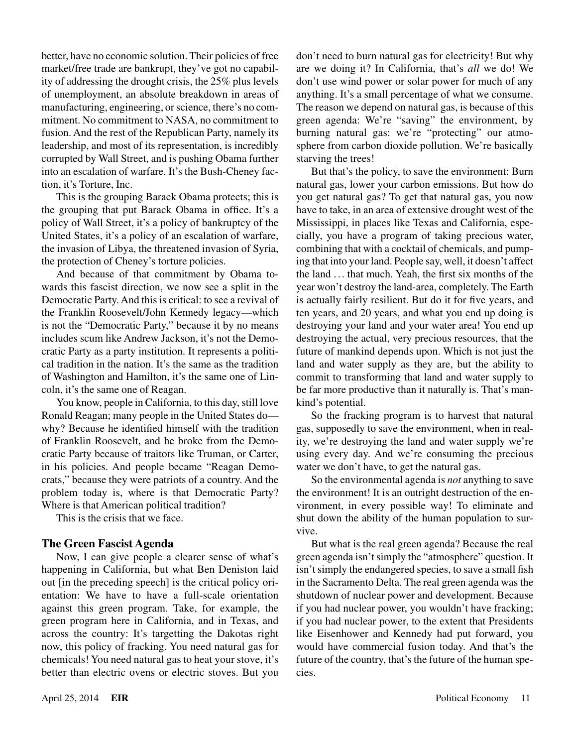better, have no economic solution. Their policies of free market/free trade are bankrupt, they've got no capability of addressing the drought crisis, the 25% plus levels of unemployment, an absolute breakdown in areas of manufacturing, engineering, or science, there's no commitment. No commitment to NASA, no commitment to fusion. And the rest of the Republican Party, namely its leadership, and most of its representation, is incredibly corrupted by Wall Street, and is pushing Obama further into an escalation of warfare. It's the Bush-Cheney faction, it's Torture, Inc.

This is the grouping Barack Obama protects; this is the grouping that put Barack Obama in office. It's a policy of Wall Street, it's a policy of bankruptcy of the United States, it's a policy of an escalation of warfare, the invasion of Libya, the threatened invasion of Syria, the protection of Cheney's torture policies.

And because of that commitment by Obama towards this fascist direction, we now see a split in the Democratic Party. And this is critical: to see a revival of the Franklin Roosevelt/John Kennedy legacy—which is not the "Democratic Party," because it by no means includes scum like Andrew Jackson, it's not the Democratic Party as a party institution. It represents a political tradition in the nation. It's the same as the tradition of Washington and Hamilton, it's the same one of Lincoln, it's the same one of Reagan.

You know, people in California, to this day, still love Ronald Reagan; many people in the United States do why? Because he identified himself with the tradition of Franklin Roosevelt, and he broke from the Democratic Party because of traitors like Truman, or Carter, in his policies. And people became "Reagan Democrats," because they were patriots of a country. And the problem today is, where is that Democratic Party? Where is that American political tradition?

This is the crisis that we face.

### **The Green Fascist Agenda**

Now, I can give people a clearer sense of what's happening in California, but what Ben Deniston laid out [in the preceding speech] is the critical policy orientation: We have to have a full-scale orientation against this green program. Take, for example, the green program here in California, and in Texas, and across the country: It's targetting the Dakotas right now, this policy of fracking. You need natural gas for chemicals! You need natural gas to heat your stove, it's better than electric ovens or electric stoves. But you don't need to burn natural gas for electricity! But why are we doing it? In California, that's *all* we do! We don't use wind power or solar power for much of any anything. It's a small percentage of what we consume. The reason we depend on natural gas, is because of this green agenda: We're "saving" the environment, by burning natural gas: we're "protecting" our atmosphere from carbon dioxide pollution. We're basically starving the trees!

But that's the policy, to save the environment: Burn natural gas, lower your carbon emissions. But how do you get natural gas? To get that natural gas, you now have to take, in an area of extensive drought west of the Mississippi, in places like Texas and California, especially, you have a program of taking precious water, combining that with a cocktail of chemicals, and pumping that into your land. People say, well, it doesn't affect the land . .. that much. Yeah, the first six months of the year won't destroy the land-area, completely. The Earth is actually fairly resilient. But do it for five years, and ten years, and 20 years, and what you end up doing is destroying your land and your water area! You end up destroying the actual, very precious resources, that the future of mankind depends upon. Which is not just the land and water supply as they are, but the ability to commit to transforming that land and water supply to be far more productive than it naturally is. That's mankind's potential.

So the fracking program is to harvest that natural gas, supposedly to save the environment, when in reality, we're destroying the land and water supply we're using every day. And we're consuming the precious water we don't have, to get the natural gas.

So the environmental agenda is *not* anything to save the environment! It is an outright destruction of the environment, in every possible way! To eliminate and shut down the ability of the human population to survive.

But what is the real green agenda? Because the real green agenda isn't simply the "atmosphere" question. It isn't simply the endangered species, to save a small fish in the Sacramento Delta. The real green agenda was the shutdown of nuclear power and development. Because if you had nuclear power, you wouldn't have fracking; if you had nuclear power, to the extent that Presidents like Eisenhower and Kennedy had put forward, you would have commercial fusion today. And that's the future of the country, that's the future of the human species.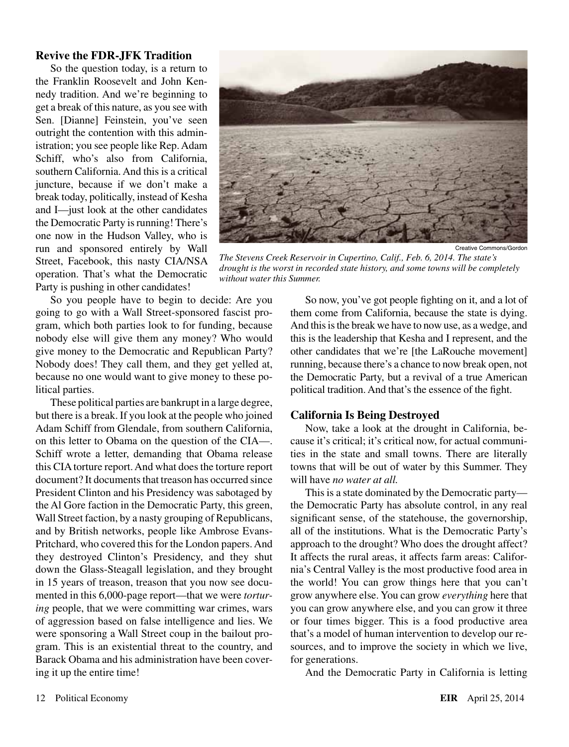#### **Revive the FDR-JFK Tradition**

So the question today, is a return to the Franklin Roosevelt and John Kennedy tradition. And we're beginning to get a break of this nature, as you see with Sen. [Dianne] Feinstein, you've seen outright the contention with this administration; you see people like Rep. Adam Schiff, who's also from California, southern California. And this is a critical juncture, because if we don't make a break today, politically, instead of Kesha and I—just look at the other candidates the Democratic Party is running! There's one now in the Hudson Valley, who is run and sponsored entirely by Wall Street, Facebook, this nasty CIA/NSA operation. That's what the Democratic Party is pushing in other candidates!



*The Stevens Creek Reservoir in Cupertino, Calif., Feb. 6, 2014. The state's drought is the worst in recorded state history, and some towns will be completely without water this Summer.*

So you people have to begin to decide: Are you going to go with a Wall Street-sponsored fascist program, which both parties look to for funding, because nobody else will give them any money? Who would give money to the Democratic and Republican Party? Nobody does! They call them, and they get yelled at, because no one would want to give money to these political parties.

These political parties are bankrupt in a large degree, but there is a break. If you look at the people who joined Adam Schiff from Glendale, from southern California, on this letter to Obama on the question of the CIA—. Schiff wrote a letter, demanding that Obama release this CIA torture report. And what does the torture report document? It documents that treason has occurred since President Clinton and his Presidency was sabotaged by the Al Gore faction in the Democratic Party, this green, Wall Street faction, by a nasty grouping of Republicans, and by British networks, people like Ambrose Evans-Pritchard, who covered this for the London papers. And they destroyed Clinton's Presidency, and they shut down the Glass-Steagall legislation, and they brought in 15 years of treason, treason that you now see documented in this 6,000-page report—that we were *torturing* people, that we were committing war crimes, wars of aggression based on false intelligence and lies. We were sponsoring a Wall Street coup in the bailout program. This is an existential threat to the country, and Barack Obama and his administration have been covering it up the entire time!

So now, you've got people fighting on it, and a lot of them come from California, because the state is dying. And this is the break we have to now use, as a wedge, and this is the leadership that Kesha and I represent, and the other candidates that we're [the LaRouche movement] running, because there's a chance to now break open, not the Democratic Party, but a revival of a true American political tradition. And that's the essence of the fight.

#### **California Is Being Destroyed**

Now, take a look at the drought in California, because it's critical; it's critical now, for actual communities in the state and small towns. There are literally towns that will be out of water by this Summer. They will have *no water at all.*

This is a state dominated by the Democratic party the Democratic Party has absolute control, in any real significant sense, of the statehouse, the governorship, all of the institutions. What is the Democratic Party's approach to the drought? Who does the drought affect? It affects the rural areas, it affects farm areas: California's Central Valley is the most productive food area in the world! You can grow things here that you can't grow anywhere else. You can grow *everything* here that you can grow anywhere else, and you can grow it three or four times bigger. This is a food productive area that's a model of human intervention to develop our resources, and to improve the society in which we live, for generations.

And the Democratic Party in California is letting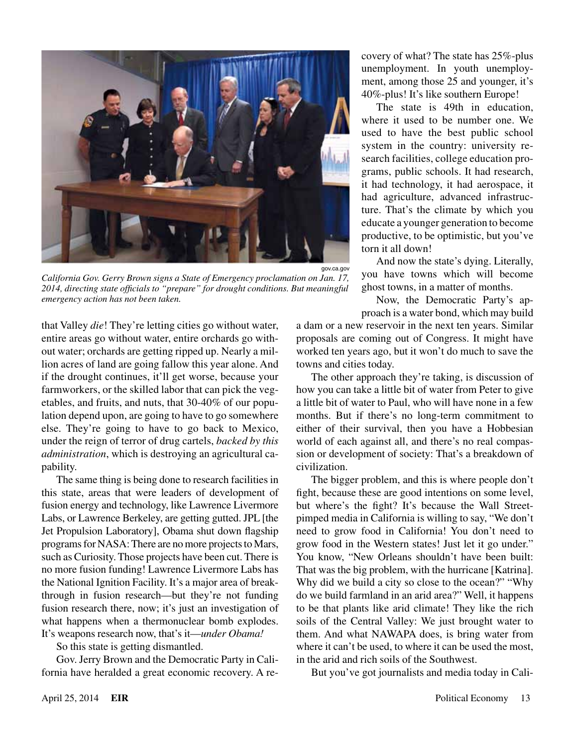

*California Gov. Gerry Brown signs a State of Emergency proclamation on Jan. 17, 2014, directing state officials to "prepare" for drought conditions. But meaningful emergency action has not been taken.*

that Valley *die*! They're letting cities go without water, entire areas go without water, entire orchards go without water; orchards are getting ripped up. Nearly a million acres of land are going fallow this year alone. And if the drought continues, it'll get worse, because your farmworkers, or the skilled labor that can pick the vegetables, and fruits, and nuts, that 30-40% of our population depend upon, are going to have to go somewhere else. They're going to have to go back to Mexico, under the reign of terror of drug cartels, *backed by this administration*, which is destroying an agricultural capability.

The same thing is being done to research facilities in this state, areas that were leaders of development of fusion energy and technology, like Lawrence Livermore Labs, or Lawrence Berkeley, are getting gutted. JPL [the Jet Propulsion Laboratory], Obama shut down flagship programs for NASA: There are no more projects to Mars, such as Curiosity. Those projects have been cut. There is no more fusion funding! Lawrence Livermore Labs has the National Ignition Facility. It's a major area of breakthrough in fusion research—but they're not funding fusion research there, now; it's just an investigation of what happens when a thermonuclear bomb explodes. It's weapons research now, that's it—*under Obama!*

So this state is getting dismantled.

Gov. Jerry Brown and the Democratic Party in California have heralded a great economic recovery. A recovery of what? The state has 25%-plus unemployment. In youth unemployment, among those 25 and younger, it's 40%-plus! It's like southern Europe!

The state is 49th in education, where it used to be number one. We used to have the best public school system in the country: university research facilities, college education programs, public schools. It had research, it had technology, it had aerospace, it had agriculture, advanced infrastructure. That's the climate by which you educate a younger generation to become productive, to be optimistic, but you've torn it all down!

And now the state's dying. Literally, you have towns which will become ghost towns, in a matter of months.

Now, the Democratic Party's approach is a water bond, which may build

a dam or a new reservoir in the next ten years. Similar proposals are coming out of Congress. It might have worked ten years ago, but it won't do much to save the towns and cities today.

The other approach they're taking, is discussion of how you can take a little bit of water from Peter to give a little bit of water to Paul, who will have none in a few months. But if there's no long-term commitment to either of their survival, then you have a Hobbesian world of each against all, and there's no real compassion or development of society: That's a breakdown of civilization.

The bigger problem, and this is where people don't fight, because these are good intentions on some level, but where's the fight? It's because the Wall Streetpimped media in California is willing to say, "We don't need to grow food in California! You don't need to grow food in the Western states! Just let it go under." You know, "New Orleans shouldn't have been built: That was the big problem, with the hurricane [Katrina]. Why did we build a city so close to the ocean?" "Why do we build farmland in an arid area?" Well, it happens to be that plants like arid climate! They like the rich soils of the Central Valley: We just brought water to them. And what NAWAPA does, is bring water from where it can't be used, to where it can be used the most, in the arid and rich soils of the Southwest.

But you've got journalists and media today in Cali-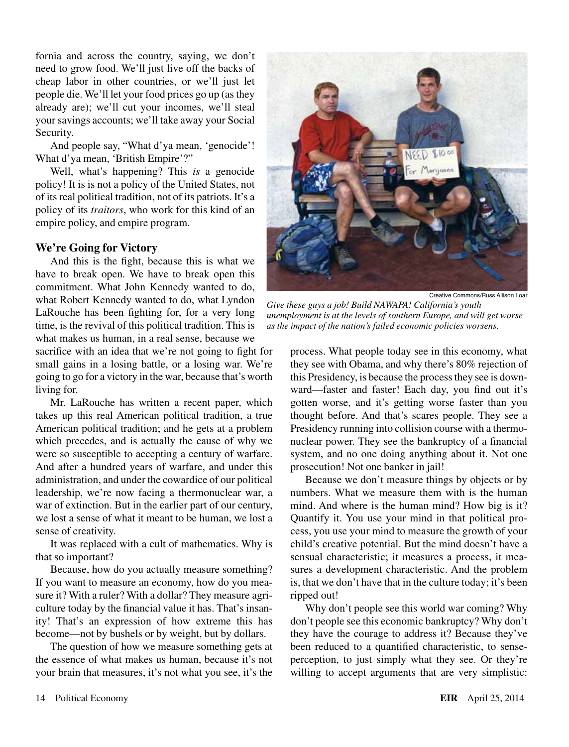fornia and across the country, saying, we don't need to grow food. We'll just live off the backs of cheap labor in other countries, or we'll just let people die. We'll let your food prices go up (as they already are); we'll cut your incomes, we'll steal your savings accounts; we'll take away your Social Security.

And people say, "What d'ya mean, 'genocide'! What d'ya mean, 'British Empire'?"

Well, what's happening? This *is* a genocide policy! It is is not a policy of the United States, not of its real political tradition, not of its patriots. It's a policy of its *traitors*, who work for this kind of an empire policy, and empire program.

#### **We're Going for Victory**

And this is the fight, because this is what we have to break open. We have to break open this commitment. What John Kennedy wanted to do, what Robert Kennedy wanted to do, what Lyndon LaRouche has been fighting for, for a very long time, is the revival of this political tradition. This is what makes us human, in a real sense, because we sacrifice with an idea that we're not going to fight for small gains in a losing battle, or a losing war. We're

going to go for a victory in the war, because that's worth living for.

Mr. LaRouche has written a recent paper, which takes up this real American political tradition, a true American political tradition; and he gets at a problem which precedes, and is actually the cause of why we were so susceptible to accepting a century of warfare. And after a hundred years of warfare, and under this administration, and under the cowardice of our political leadership, we're now facing a thermonuclear war, a war of extinction. But in the earlier part of our century, we lost a sense of what it meant to be human, we lost a sense of creativity.

It was replaced with a cult of mathematics. Why is that so important?

Because, how do you actually measure something? If you want to measure an economy, how do you measure it? With a ruler? With a dollar? They measure agriculture today by the financial value it has. That's insanity! That's an expression of how extreme this has become—not by bushels or by weight, but by dollars.

The question of how we measure something gets at the essence of what makes us human, because it's not your brain that measures, it's not what you see, it's the



Creative Commons/Russ Allison Loar *Give these guys a job! Build NAWAPA! California's youth unemployment is at the levels of southern Europe, and will get worse as the impact of the nation's failed economic policies worsens.*

process. What people today see in this economy, what they see with Obama, and why there's 80% rejection of this Presidency, is because the process they see is downward—faster and faster! Each day, you find out it's gotten worse, and it's getting worse faster than you thought before. And that's scares people. They see a Presidency running into collision course with a thermonuclear power. They see the bankruptcy of a financial system, and no one doing anything about it. Not one prosecution! Not one banker in jail!

Because we don't measure things by objects or by numbers. What we measure them with is the human mind. And where is the human mind? How big is it? Quantify it. You use your mind in that political process, you use your mind to measure the growth of your child's creative potential. But the mind doesn't have a sensual characteristic; it measures a process, it measures a development characteristic. And the problem is, that we don't have that in the culture today; it's been ripped out!

Why don't people see this world war coming? Why don't people see this economic bankruptcy? Why don't they have the courage to address it? Because they've been reduced to a quantified characteristic, to senseperception, to just simply what they see. Or they're willing to accept arguments that are very simplistic: